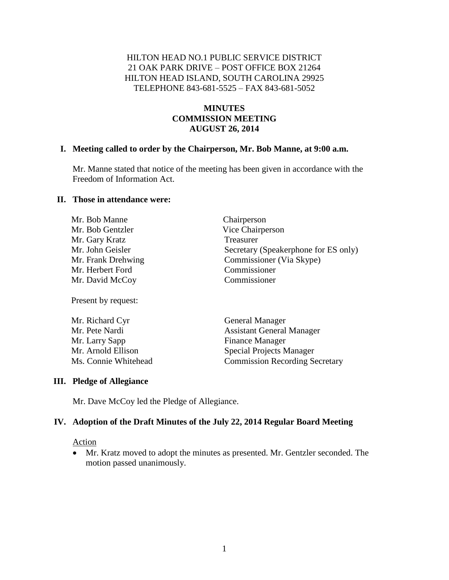## HILTON HEAD NO.1 PUBLIC SERVICE DISTRICT 21 OAK PARK DRIVE – POST OFFICE BOX 21264 HILTON HEAD ISLAND, SOUTH CAROLINA 29925 TELEPHONE 843-681-5525 – FAX 843-681-5052

## **MINUTES COMMISSION MEETING AUGUST 26, 2014**

#### **I. Meeting called to order by the Chairperson, Mr. Bob Manne, at 9:00 a.m.**

Mr. Manne stated that notice of the meeting has been given in accordance with the Freedom of Information Act.

> Chairperson Vice Chairperson

Secretary (Speakerphone for ES only)

Commissioner (Via Skype)

#### **II. Those in attendance were:**

| Mr. Bob Manne      | Chairperson     |
|--------------------|-----------------|
| Mr. Bob Gentzler   | Vice Chairpers  |
| Mr. Gary Kratz     | Treasurer       |
| Mr. John Geisler   | Secretary (Spea |
| Mr. Frank Drehwing | Commissioner    |
| Mr. Herbert Ford   | Commissioner    |
| Mr. David McCoy    | Commissioner    |

Present by request:

| Mr. Richard Cyr      | <b>General Manager</b>                |
|----------------------|---------------------------------------|
| Mr. Pete Nardi       | <b>Assistant General Manager</b>      |
| Mr. Larry Sapp       | <b>Finance Manager</b>                |
| Mr. Arnold Ellison   | <b>Special Projects Manager</b>       |
| Ms. Connie Whitehead | <b>Commission Recording Secretary</b> |

### **III. Pledge of Allegiance**

Mr. Dave McCoy led the Pledge of Allegiance.

### **IV. Adoption of the Draft Minutes of the July 22, 2014 Regular Board Meeting**

#### Action

 Mr. Kratz moved to adopt the minutes as presented. Mr. Gentzler seconded. The motion passed unanimously.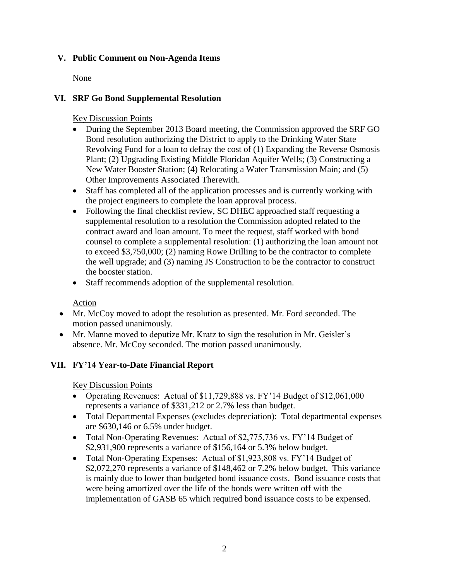## **V. Public Comment on Non-Agenda Items**

None

# **VI. SRF Go Bond Supplemental Resolution**

Key Discussion Points

- During the September 2013 Board meeting, the Commission approved the SRF GO Bond resolution authorizing the District to apply to the Drinking Water State Revolving Fund for a loan to defray the cost of (1) Expanding the Reverse Osmosis Plant; (2) Upgrading Existing Middle Floridan Aquifer Wells; (3) Constructing a New Water Booster Station; (4) Relocating a Water Transmission Main; and (5) Other Improvements Associated Therewith.
- Staff has completed all of the application processes and is currently working with the project engineers to complete the loan approval process.
- Following the final checklist review, SC DHEC approached staff requesting a supplemental resolution to a resolution the Commission adopted related to the contract award and loan amount. To meet the request, staff worked with bond counsel to complete a supplemental resolution: (1) authorizing the loan amount not to exceed \$3,750,000; (2) naming Rowe Drilling to be the contractor to complete the well upgrade; and (3) naming JS Construction to be the contractor to construct the booster station.
- Staff recommends adoption of the supplemental resolution.

Action

- Mr. McCoy moved to adopt the resolution as presented. Mr. Ford seconded. The motion passed unanimously.
- Mr. Manne moved to deputize Mr. Kratz to sign the resolution in Mr. Geisler's absence. Mr. McCoy seconded. The motion passed unanimously.

# **VII. FY'14 Year-to-Date Financial Report**

Key Discussion Points

- Operating Revenues: Actual of \$11,729,888 vs. FY'14 Budget of \$12,061,000 represents a variance of \$331,212 or 2.7% less than budget.
- Total Departmental Expenses (excludes depreciation): Total departmental expenses are \$630,146 or 6.5% under budget.
- Total Non-Operating Revenues: Actual of \$2,775,736 vs. FY'14 Budget of \$2,931,900 represents a variance of \$156,164 or 5.3% below budget.
- Total Non-Operating Expenses: Actual of \$1,923,808 vs. FY'14 Budget of \$2,072,270 represents a variance of \$148,462 or 7.2% below budget. This variance is mainly due to lower than budgeted bond issuance costs. Bond issuance costs that were being amortized over the life of the bonds were written off with the implementation of GASB 65 which required bond issuance costs to be expensed.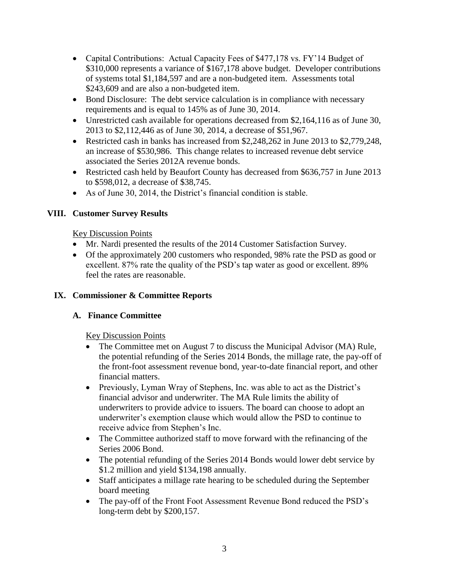- Capital Contributions: Actual Capacity Fees of \$477,178 vs. FY'14 Budget of \$310,000 represents a variance of \$167,178 above budget. Developer contributions of systems total \$1,184,597 and are a non-budgeted item. Assessments total \$243,609 and are also a non-budgeted item.
- Bond Disclosure: The debt service calculation is in compliance with necessary requirements and is equal to 145% as of June 30, 2014.
- Unrestricted cash available for operations decreased from \$2,164,116 as of June 30, 2013 to \$2,112,446 as of June 30, 2014, a decrease of \$51,967.
- Restricted cash in banks has increased from \$2,248,262 in June 2013 to \$2,779,248, an increase of \$530,986. This change relates to increased revenue debt service associated the Series 2012A revenue bonds.
- Restricted cash held by Beaufort County has decreased from \$636,757 in June 2013 to \$598,012, a decrease of \$38,745.
- As of June 30, 2014, the District's financial condition is stable.

# **VIII. Customer Survey Results**

### Key Discussion Points

- Mr. Nardi presented the results of the 2014 Customer Satisfaction Survey.
- Of the approximately 200 customers who responded, 98% rate the PSD as good or excellent. 87% rate the quality of the PSD's tap water as good or excellent. 89% feel the rates are reasonable.

## **IX. Commissioner & Committee Reports**

## **A. Finance Committee**

## Key Discussion Points

- The Committee met on August 7 to discuss the Municipal Advisor (MA) Rule, the potential refunding of the Series 2014 Bonds, the millage rate, the pay-off of the front-foot assessment revenue bond, year-to-date financial report, and other financial matters.
- Previously, Lyman Wray of Stephens, Inc. was able to act as the District's financial advisor and underwriter. The MA Rule limits the ability of underwriters to provide advice to issuers. The board can choose to adopt an underwriter's exemption clause which would allow the PSD to continue to receive advice from Stephen's Inc.
- The Committee authorized staff to move forward with the refinancing of the Series 2006 Bond.
- The potential refunding of the Series 2014 Bonds would lower debt service by \$1.2 million and yield \$134,198 annually.
- Staff anticipates a millage rate hearing to be scheduled during the September board meeting
- The pay-off of the Front Foot Assessment Revenue Bond reduced the PSD's long-term debt by \$200,157.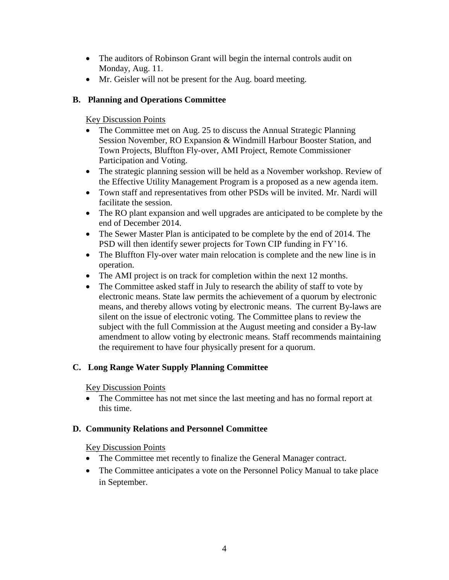- The auditors of Robinson Grant will begin the internal controls audit on Monday, Aug. 11.
- Mr. Geisler will not be present for the Aug. board meeting.

# **B. Planning and Operations Committee**

Key Discussion Points

- The Committee met on Aug. 25 to discuss the Annual Strategic Planning Session November, RO Expansion & Windmill Harbour Booster Station, and Town Projects, Bluffton Fly-over, AMI Project, Remote Commissioner Participation and Voting.
- The strategic planning session will be held as a November workshop. Review of the Effective Utility Management Program is a proposed as a new agenda item.
- Town staff and representatives from other PSDs will be invited. Mr. Nardi will facilitate the session.
- The RO plant expansion and well upgrades are anticipated to be complete by the end of December 2014.
- The Sewer Master Plan is anticipated to be complete by the end of 2014. The PSD will then identify sewer projects for Town CIP funding in FY'16.
- The Bluffton Fly-over water main relocation is complete and the new line is in operation.
- The AMI project is on track for completion within the next 12 months.
- The Committee asked staff in July to research the ability of staff to vote by electronic means. State law permits the achievement of a quorum by electronic means, and thereby allows voting by electronic means. The current By-laws are silent on the issue of electronic voting. The Committee plans to review the subject with the full Commission at the August meeting and consider a By-law amendment to allow voting by electronic means. Staff recommends maintaining the requirement to have four physically present for a quorum.

# **C. Long Range Water Supply Planning Committee**

Key Discussion Points

• The Committee has not met since the last meeting and has no formal report at this time.

# **D. Community Relations and Personnel Committee**

## Key Discussion Points

- The Committee met recently to finalize the General Manager contract.
- The Committee anticipates a vote on the Personnel Policy Manual to take place in September.